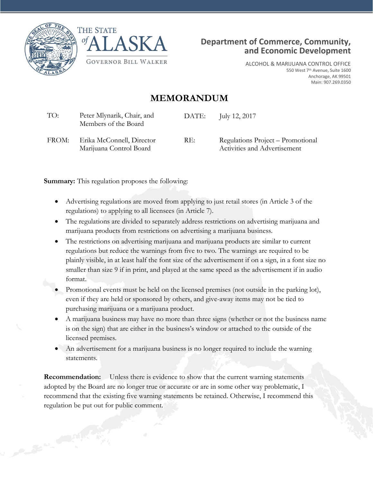





ALCOHOL & MARIJUANA CONTROL OFFICE 550 West 7th Avenue, Suite 1600 Anchorage, AK 99501 Main: 907.269.0350

## **MEMORANDUM**

| TO:   | Peter Mlynarik, Chair, and<br>Members of the Board   | DATE: | July 12, 2017                                                     |
|-------|------------------------------------------------------|-------|-------------------------------------------------------------------|
| FROM: | Erika McConnell, Director<br>Marijuana Control Board | RE:   | Regulations Project – Promotional<br>Activities and Advertisement |

**Summary:** This regulation proposes the following:

- Advertising regulations are moved from applying to just retail stores (in Article 3 of the regulations) to applying to all licensees (in Article 7).
- The regulations are divided to separately address restrictions on advertising marijuana and marijuana products from restrictions on advertising a marijuana business.
- The restrictions on advertising marijuana and marijuana products are similar to current regulations but reduce the warnings from five to two. The warnings are required to be plainly visible, in at least half the font size of the advertisement if on a sign, in a font size no smaller than size 9 if in print, and played at the same speed as the advertisement if in audio format.
- Promotional events must be held on the licensed premises (not outside in the parking lot), even if they are held or sponsored by others, and give-away items may not be tied to purchasing marijuana or a marijuana product.
- A marijuana business may have no more than three signs (whether or not the business name is on the sign) that are either in the business's window or attached to the outside of the licensed premises.
- An advertisement for a marijuana business is no longer required to include the warning statements.

**Recommendation:** Unless there is evidence to show that the current warning statements adopted by the Board are no longer true or accurate or are in some other way problematic, I recommend that the existing five warning statements be retained. Otherwise, I recommend this regulation be put out for public comment.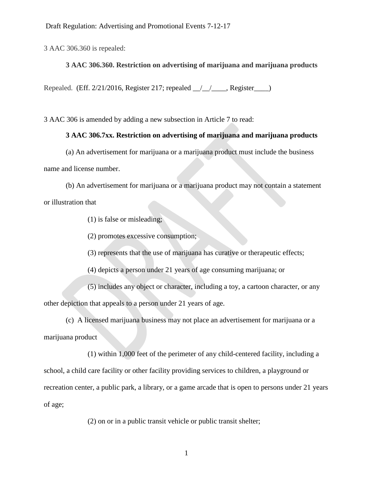3 AAC 306.360 is repealed:

## **3 AAC 306.360. Restriction on advertising of marijuana and marijuana products**

Repealed. (Eff. 2/21/2016, Register 217; repealed \_\_/\_\_/\_\_\_\_, Register\_\_\_\_)

3 AAC 306 is amended by adding a new subsection in Article 7 to read:

## **3 AAC 306.7xx. Restriction on advertising of marijuana and marijuana products**

(a) An advertisement for marijuana or a marijuana product must include the business name and license number.

(b) An advertisement for marijuana or a marijuana product may not contain a statement or illustration that

(1) is false or misleading;

(2) promotes excessive consumption;

(3) represents that the use of marijuana has curative or therapeutic effects;

(4) depicts a person under 21 years of age consuming marijuana; or

(5) includes any object or character, including a toy, a cartoon character, or any other depiction that appeals to a person under 21 years of age.

(c) A licensed marijuana business may not place an advertisement for marijuana or a marijuana product

(1) within 1,000 feet of the perimeter of any child-centered facility, including a school, a child care facility or other facility providing services to children, a playground or recreation center, a public park, a library, or a game arcade that is open to persons under 21 years of age;

(2) on or in a public transit vehicle or public transit shelter;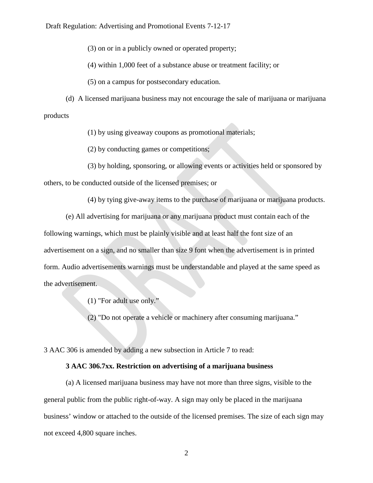Draft Regulation: Advertising and Promotional Events 7-12-17

(3) on or in a publicly owned or operated property;

(4) within 1,000 feet of a substance abuse or treatment facility; or

(5) on a campus for postsecondary education.

(d) A licensed marijuana business may not encourage the sale of marijuana or marijuana products

(1) by using giveaway coupons as promotional materials;

(2) by conducting games or competitions;

(3) by holding, sponsoring, or allowing events or activities held or sponsored by

others, to be conducted outside of the licensed premises; or

(4) by tying give-away items to the purchase of marijuana or marijuana products.

(e) All advertising for marijuana or any marijuana product must contain each of the following warnings, which must be plainly visible and at least half the font size of an advertisement on a sign, and no smaller than size 9 font when the advertisement is in printed form. Audio advertisements warnings must be understandable and played at the same speed as the advertisement.

(1) "For adult use only."

(2) "Do not operate a vehicle or machinery after consuming marijuana."

3 AAC 306 is amended by adding a new subsection in Article 7 to read:

## **3 AAC 306.7xx. Restriction on advertising of a marijuana business**

(a) A licensed marijuana business may have not more than three signs, visible to the general public from the public right-of-way. A sign may only be placed in the marijuana business' window or attached to the outside of the licensed premises. The size of each sign may not exceed 4,800 square inches.